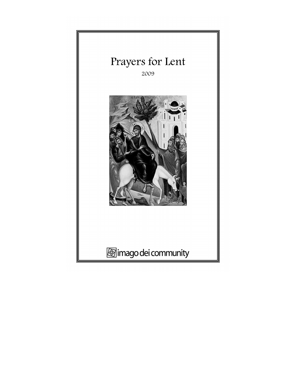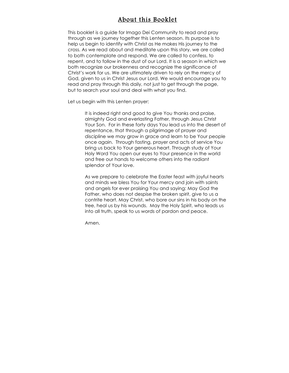# About this Booklet

This booklet is a guide for Imago Dei Community to read and pray through as we journey together this Lenten season. Its purpose is to help us begin to identify with Christ as He makes His journey to the cross. As we read about and meditate upon this story, we are called to both contemplate and respond. We are called to confess, to repent, and to follow in the dust of our Lord. It is a season in which we both recognize our brokenness and recognize the significance of Christ's work for us. We are ultimately driven to rely on the mercy of God, given to us in Christ Jesus our Lord. We would encourage you to read and pray through this daily, not just to get through the page, but to search your soul and deal with what you find.

Let us begin with this Lenten prayer:

It is indeed right and good to give You thanks and praise, almighty God and everlasting Father, through Jesus Christ Your Son. For in these forty days You lead us into the desert of repentance, that through a pilgrimage of prayer and discipline we may grow in grace and learn to be Your people once again. Through fasting, prayer and acts of service You bring us back to Your generous heart. Through study of Your Holy Word You open our eyes to Your presence in the world and free our hands to welcome others into the radiant splendor of Your love.

As we prepare to celebrate the Easter feast with joyful hearts and minds we bless You for Your mercy and join with saints and angels for ever praising You and saying: May God the Father, who does not despise the broken spirit, give to us a contrite heart. May Christ, who bore our sins in his body on the tree, heal us by his wounds. May the Holy Spirit, who leads us into all truth, speak to us words of pardon and peace.

Amen.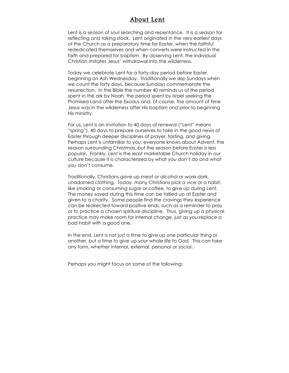### About Lent

Lent is a season of soul searching and repentance. It is a season for reflecting and taking stock. Lent originated in the very earliest days of the Church as a preparatory time for Easter, when the faithful rededicated themselves and when converts were instructed in the faith and prepared for baptism. By observing Lent, the individual Christian imitates Jesus' withdrawal into the wilderness.

Today we celebrate Lent for a forty-day period before Easter, beginning on Ash Wednesday. Traditionally we skip Sundays when we count the forty days, because Sundays commemorate the resurrection. In the Bible the number 40 reminds us of the period spent in the ark by Noah, the period spent by Israel seeking the Promised Land after the Exodus and, of course, the amount of time Jesus was in the wilderness after His baptism and prior to beginning His ministry.

For us, Lent is an invitation to 40 days of renewal ("Lent" means "spring"), 40 days to prepare ourselves to take in the good news of Easter through deeper disciplines of prayer, fasting, and giving. Perhaps Lent is unfamiliar to you; everyone knows about Advent, the season surrounding Christmas, but the season before Easter is less popular. Frankly, Lent is the least marketable Church holiday in our culture because it is characterized by what you don't do and what you don't consume.

Traditionally, Christians gave up meat or alcohol or wore dark, unadorned clothing. Today, many Christians pick a vice or a habit, like smoking or consuming sugar or coffee, to give up during Lent. The money saved during this time can be tallied up at Easter and given to a charity. Some people find the cravings they experience can be redirected toward positive ends, such as a reminder to pray or to practice a chosen spiritual discipline. Thus, giving up a physical practice may make room for internal change, just as you replace a bad habit with a good one.

In the end, Lent is not just a time to give up one particular thing or another, but a time to give up your whole life to God. This can take any form, whether internal, external, personal or social.

Perhaps you might focus on some of the following: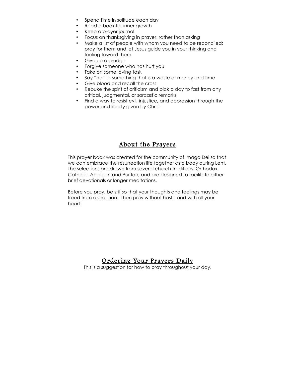- Spend time in solitude each day
- Read a book for inner growth
- Keep a prayer journal
- Focus on thanksgiving in prayer, rather than asking
- Make a list of people with whom you need to be reconciled; pray for them and let Jesus guide you in your thinking and feeling toward them
- Give up a grudge
- Forgive someone who has hurt you
- 
- Take on some loving task<br>• Sav "no" to something the • Say "no" to something that is a waste of money and time
- Give blood and recall the cross
- Rebuke the spirit of criticism and pick a day to fast from any critical, judgmental, or sarcastic remarks
- Find a way to resist evil, injustice, and oppression through the power and liberty given by Christ

# About the Prayers

This prayer book was created for the community of Imago Dei so that we can embrace the resurrection life together as a body during Lent. The selections are drawn from several church traditions: Orthodox, Catholic, Anglican and Puritan, and are designed to facilitate either brief devotionals or longer meditations.

Before you pray, be still so that your thoughts and feelings may be freed from distraction. Then pray without haste and with all your heart.

# Ordering Your Prayers Daily

This is a suggestion for how to pray throughout your day.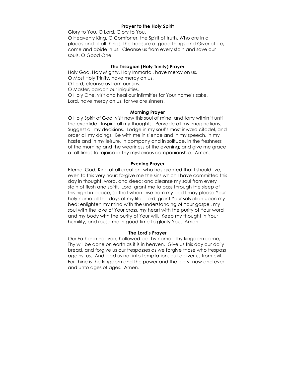#### **Prayer to the Holy Spirit**

Glory to You, O Lord. Glory to You.

O Heavenly King, O Comforter, the Spirit of truth, Who are in all places and fill all things, the Treasure of good things and Giver of life, come and abide in us. Cleanse us from every stain and save our souls, O Good One.

#### **The Trisagion (Holy Trinity) Prayer**

Holy God, Holy Mighty, Holy Immortal, have mercy on us. O Most Holy Trinity, have mercy on us. O Lord, cleanse us from our sins. O Master, pardon our iniquities. O Holy One, visit and heal our infirmities for Your name's sake. Lord, have mercy on us, for we are sinners.

#### **Morning Prayer**

O Holy Spirit of God, visit now this soul of mine, and tarry within it until the eventide. Inspire all my thoughts. Pervade all my imaginations. Suggest all my decisions. Lodge in my soul's most inward citadel, and order all my doings. Be with me in silence and in my speech, in my haste and in my leisure, in company and in solitude, in the freshness of the morning and the weariness of the evening; and give me grace at all times to rejoice in Thy mysterious companionship. Amen.

#### **Evening Prayer**

Eternal God, King of all creation, who has granted that I should live, even to this very hour: forgive me the sins which I have committed this day in thought, word, and deed; and cleanse my soul from every stain of flesh and spirit. Lord, grant me to pass through the sleep of this night in peace, so that when I rise from my bed I may please Your holy name all the days of my life. Lord, grant Your salvation upon my bed: enlighten my mind with the understanding of Your gospel, my soul with the love of Your cross, my heart with the purity of Your word and my body with the purity of Your will. Keep my thought in Your humility, and rouse me in good time to glorify You. Amen.

#### **The Lord's Prayer**

Our Father in heaven, hallowed be Thy name. Thy kingdom come, Thy will be done on earth as it is in heaven. Give us this day our daily bread, and forgive us our trespasses as we forgive those who trespass against us. And lead us not into temptation, but deliver us from evil. For Thine is the kingdom and the power and the glory, now and ever and unto ages of ages. Amen.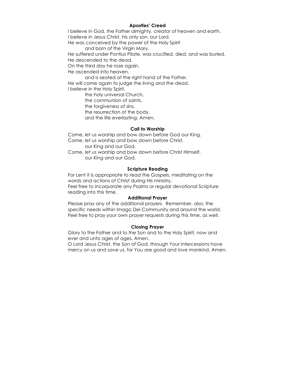#### **Apostles' Creed**

I believe in God, the Father almighty, creator of heaven and earth.

I believe in Jesus Christ, his only son, our Lord.

He was conceived by the power of the Holy Spirit

and born of the Virgin Mary.

He suffered under Pontius Pilate, was crucified, died, and was buried.

He descended to the dead.

On the third day he rose again.

He ascended into heaven,

and is seated at the right hand of the Father. He will come again to judge the living and the dead. I believe in the Holy Spirit,

the holy universal Church,

the communion of saints,

the forgiveness of sins,

the resurrection of the body,

and the life everlasting. Amen.

#### **Call to Worship**

Come, let us worship and bow down before God our King.

Come, let us worship and bow down before Christ, our King and our God.

Come, let us worship and bow down before Christ Himself, our King and our God.

#### **Scripture Reading**

For Lent it is appropriate to read the Gospels, meditating on the words and actions of Christ during His ministry. Feel free to incorporate any Psalms or regular devotional Scripture reading into this time.

#### **Additional Prayer**

Please pray any of the additional prayers. Remember, also, the specific needs within Imago Dei Community and around the world. Feel free to pray your own prayer requests during this time, as well.

#### **Closing Prayer**

Glory to the Father and to the Son and to the Holy Spirit, now and ever and unto ages of ages. Amen.

O Lord Jesus Christ, the Son of God, through Your intercessions have mercy on us and save us, for You are good and love mankind. Amen.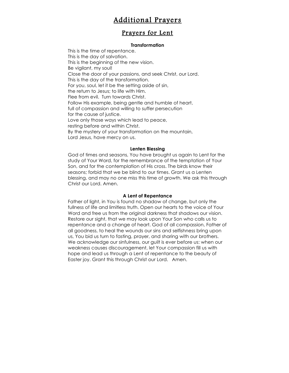# Additional Prayers

## Prayers for Lent

#### **Transformation**

This is the time of repentance. This is the day of salvation. This is the beginning of the new vision. Be vigilant, my soul! Close the door of your passions, and seek Christ, our Lord. This is the day of the transformation. For you, soul, let it be the setting aside of sin, the return to Jesus; to life with Him. Flee from evil. Turn towards Christ. Follow His example, being gentle and humble of heart, full of compassion and willing to suffer persecution for the cause of justice. Love only those ways which lead to peace, resting before and within Christ. By the mystery of your transformation on the mountain, Lord Jesus, have mercy on us.

#### **Lenten Blessing**

God of times and seasons, You have brought us again to Lent for the study of Your Word, for the remembrance of the temptation of Your Son, and for the contemplation of His cross. The birds know their seasons; forbid that we be blind to our times. Grant us a Lenten blessing, and may no one miss this time of growth. We ask this through Christ our Lord. Amen.

#### **A Lent of Repentance**

Father of light, in You is found no shadow of change, but only the fullness of life and limitless truth. Open our hearts to the voice of Your Word and free us from the original darkness that shadows our vision. Restore our sight, that we may look upon Your Son who calls us to repentance and a change of heart. God of all compassion, Father of all goodness, to heal the wounds our sins and selfishness bring upon us, You bid us turn to fasting, prayer, and sharing with our brothers. We acknowledge our sinfulness, our guilt is ever before us: when our weakness causes discouragement, let Your compassion fill us with hope and lead us through a Lent of repentance to the beauty of Easter joy. Grant this through Christ our Lord. Amen.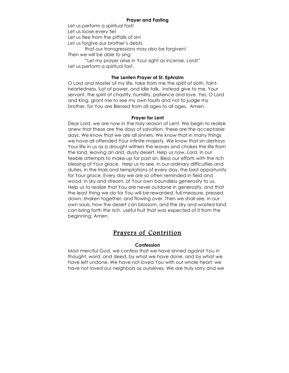Let us perform a spiritual fast! Let us loose every tie! Let us flee from the pitfalls of sin! Let us forgive our brother's debts that our transgressions may also be forgiven! Then we will be able to sing

"Let my prayer arise in Your sight as incense, Lord!" Let us perform a spiritual fast.

#### **The Lenten Prayer of St. Ephraim**

O Lord and Master of my life, take from me the spirit of sloth, faintheartedness, lust of power, and idle talk. Instead give to me, Your servant, the spirit of chastity, humility, patience and love. Yes, O Lord and King, grant me to see my own faults and not to judge my brother, for You are Blessed from all ages to all ages. Amen.

#### **Prayer for Lent**

Dear Lord, we are now in the holy season of Lent. We begin to realize anew that these are the days of salvation, these are the acceptable days. We know that we are all sinners. We know that in many things we have all offended Your infinite majesty. We know that sin destroys Your life in us as a drought withers the leaves and chokes the life from the land, leaving an arid, dusty desert. Help us now, Lord, in our feeble attempts to make up for past sin. Bless our efforts with the rich blessing of Your grace. Help us to see, in our ordinary difficulties and duties, in the trials and temptations of every day, the best opportunity for Your grace. Every day we are so often reminded in field and wood, in sky and stream, of Your own boundless generosity to us. Help us to realize that You are never outdone in generosity, and that the least thing we do for You will be rewarded, full measure, pressed down, shaken together, and flowing over. Then we shall see, in our own souls, how the desert can blossom, and the dry and wasted land can bring forth the rich, useful fruit that was expected of it from the beginning. Amen.

# Prayers of Contrition

#### **Confession**

Most merciful God, we confess that we have sinned against You in thought, word, and deed, by what we have done, and by what we have left undone. We have not loved You with our whole heart; we have not loved our neighbors as ourselves. We are truly sorry and we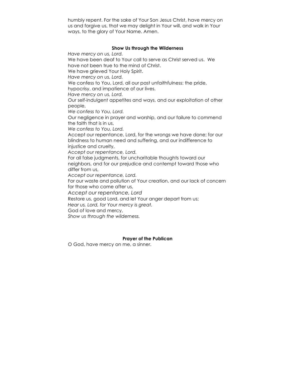humbly repent. For the sake of Your Son Jesus Christ, have mercy on us and forgive us, that we may delight in Your will, and walk in Your ways, to the glory of Your Name. Amen.

#### **Show Us through the Wilderness**

*Have mercy on us, Lord.*

We have been deaf to Your call to serve as Christ served us. We have not been true to the mind of Christ. We have grieved Your Holy Spirit. *Have mercy on us, Lord.* We confess to You, Lord, all our past unfaithfulness: the pride,

hypocrisy, and impatience of our lives.

*Have mercy on us, Lord.*

Our self-indulgent appetites and ways, and our exploitation of other people,

*We confess to You, Lord.*

Our negligence in prayer and worship, and our failure to commend the faith that is in us,

*We confess to You, Lord.*

Accept our repentance, Lord, for the wrongs we have done; for our blindness to human need and suffering, and our indifference to injustice and cruelty,

*Accept our repentance, Lord.*

For all false judgments, for uncharitable thoughts toward our neighbors, and for our prejudice and contempt toward those who differ from us,

*Accept our repentance, Lord.*

For our waste and pollution of Your creation, and our lack of concern for those who come after us,

*Accept our repentance, Lord*

Restore us, good Lord, and let Your anger depart from us;

*Hear us, Lord, for Your mercy is great.*

God of love and mercy,

*Show us through the wilderness.*

#### **Prayer of the Publican**

O God, have mercy on me, a sinner.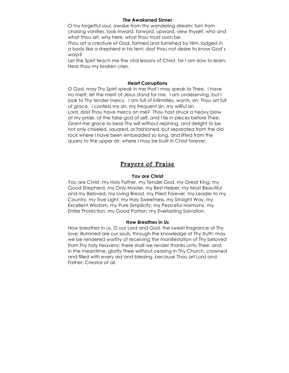#### **The Awakened Sinner**

O my forgetful soul, awake from thy wandering dream; turn from chasing vanities, look inward, forward, upward, view thyself, who and what thou art, why here, what thou must soon be.

Thou art a creature of God, formed and furnished by Him, lodged in a body like a shepherd in his tent; dost thou not desire to know God's ways?

Let the Spirit teach me the vital lessons of Christ, for I am slow to learn: Hear thou my broken cries.

#### **Heart Corruptions**

O God, may Thy Spirit speak in me that I may speak to Thee. I have no merit, let the merit of Jesus stand for me. I am undeserving, but I look to Thy tender mercy. I am full of infirmities, wants, sin; Thou art full of grace. I confess my sin, my frequent sin, my willful sin. Lord, dost Thou have mercy on me? Thou hast struck a heavy blow at my pride, at the false god of self, and I lie in pieces before Thee. Grant me grace to bear Thy will without repining, and delight to be not only chiseled, squared, or fashioned, but separated from the old rock where I have been embedded so long, and lifted from the quarry to the upper air, where I may be built in Christ forever.

# Prayers of Praise

#### **You are Christ**

You are Christ, my Holy Father, my Tender God, my Great King, my Good Shepherd, my Only Master, my Best Helper, my Most Beautiful and my Beloved, my Living Bread, my Priest Forever, my Leader to my Country, my True Light, my Holy Sweetness, my Straight Way, my Excellent Wisdom, my Pure Simplicity, my Peaceful Harmony, my Entire Protection, my Good Portion, my Everlasting Salvation.

#### **How Breathes in Us**

How breathes in us, O our Lord and God, the sweet fragrance of Thy love; illumined are our souls, through the knowledge of Thy truth: may we be rendered worthy of receiving the manifestation of Thy beloved from Thy holy heavens: there shall we render thanks unto Thee, and, in the meantime, glorify Thee without ceasing in Thy Church, crowned and filled with every aid and blessing, because Thou art Lord and Father, Creator of all.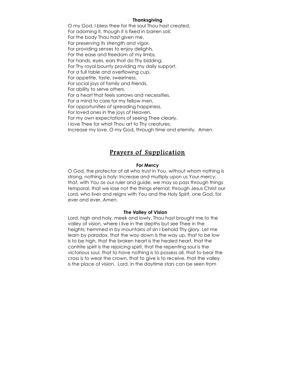#### **Thanksgiving**

O my God, I bless thee for the soul Thou hast created, For adorning it, though it is fixed in barren soil; For the body Thou hast given me, For preserving its strength and vigor, For providing senses to enjoy delights, For the ease and freedom of my limbs, For hands, eyes, ears that do Thy bidding; For Thy royal bounty providing my daily support, For a full table and overflowing cup, For appetite, taste, sweetness, For social joys of family and friends, For ability to serve others, For a heart that feels sorrows and necessities, For a mind to care for my fellow men, For opportunities of spreading happiness, For loved ones in the joys of Heaven, For my own expectations of seeing Thee clearly. I love Thee for what Thou art to Thy creatures. Increase my love, O my God, through time and eternity. Amen.

## Prayers of Supplication

#### **For Mercy**

O God, the protector of all who trust in You, without whom nothing is strong, nothing is holy: Increase and multiply upon us Your mercy; that, with You as our ruler and guide, we may so pass through things temporal, that we lose not the things eternal; through Jesus Christ our Lord, who lives and reigns with You and the Holy Spirit, one God, for ever and ever. A*men*.

#### **The Valley of Vision**

Lord, high and holy, meek and lowly, Thou hast brought me to the valley of vision, where I live in the depths but see Thee in the heights; hemmed in by mountains of sin I behold Thy glory. Let me learn by paradox, that the way down is the way up, that to be low is to be high, that the broken heart is the healed heart, that the contrite spirit is the rejoicing spirit, that the repenting soul is the victorious soul, that to have nothing is to possess all, that to bear the cross is to wear the crown, that to give is to receive, that the valley is the place of vision. Lord, in the daytime stars can be seen from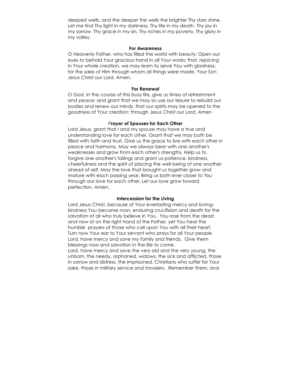deepest wells, and the deeper the wells the brighter Thy stars shine. Let me find Thy light in my darkness, Thy life in my death, Thy joy in my sorrow, Thy grace in my sin, Thy riches in my poverty, Thy glory in my valley.

#### **For Awareness**

O Heavenly Father, who has filled the world with beauty: Open our eyes to behold Your gracious hand in all Your works; that, rejoicing in Your whole creation, we may learn to serve You with gladness; for the sake of Him through whom all things were made, Your Son Jesus Christ our Lord. Amen.

#### **For Renewal**

O God, in the course of this busy life, give us times of refreshment and peace; and grant that we may so use our leisure to rebuild our bodies and renew our minds, that our spirits may be opened to the goodness of Your creation; through Jesus Christ our Lord. Amen

#### P**rayer of Spouses for Each Other**

Lord Jesus, grant that I and my spouse may have a true and understanding love for each other. Grant that we may both be filled with faith and trust. Give us the grace to live with each other in peace and harmony. May we always bear with one another's weaknesses and grow from each other's strengths. Help us to forgive one another's failings and grant us patience, kindness, cheerfulness and the spirit of placing the well-being of one another ahead of self. May the love that brought us together grow and mature with each passing year. Bring us both ever closer to You through our love for each other. Let our love grow toward perfection. Amen.

#### **Intercession for the Living**

Lord Jesus Christ, because of Your everlasting mercy and lovingkindness You became man, enduring crucifixion and death for the salvation of all who truly believe in You. You rose from the dead and now sit on the right hand of the Father, yet You hear the humble prayers of those who call upon You with all their heart. Turn now Your ear to Your servant who prays for all Your people Lord, have mercy and save my family and friends. Give them blessings now and salvation in the life to come. Lord, have mercy and save the very old and the very young, the unborn, the needy, orphaned, widows, the sick and afflicted, those in sorrow and distress, the imprisoned, Christians who suffer for Your sake, those in military service and travelers. Remember them, and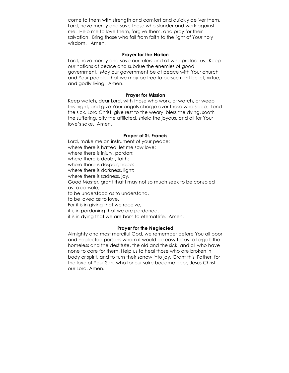come to them with strength and comfort and quickly deliver them. Lord, have mercy and save those who slander and work against me. Help me to love them, forgive them, and pray for their salvation. Bring those who fall from faith to the light of Your holy wisdom. Amen.

#### **Prayer for the Nation**

Lord, have mercy and save our rulers and all who protect us. Keep our nations at peace and subdue the enemies of good government. May our government be at peace with Your church and Your people, that we may be free to pursue right belief, virtue, and godly living. Amen.

#### **Prayer for Mission**

Keep watch, dear Lord, with those who work, or watch, or weep this night, and give Your angels charge over those who sleep. Tend the sick, Lord Christ; give rest to the weary, bless the dying, sooth the suffering, pity the afflicted, shield the joyous, and all for Your love's sake. Amen.

#### **Prayer of St. Francis**

Lord, make me an instrument of your peace: where there is hatred, let me sow love; where there is injury, pardon; where there is doubt, faith; where there is despair, hope; where there is darkness, light; where there is sadness, joy. Good Master, grant that I may not so much seek to be consoled as to console, to be understood as to understand, to be loved as to love. For it is in giving that we receive, it is in pardoning that we are pardoned, it is in dying that we are born to eternal life. Amen.

#### **Prayer for the Neglected**

Almighty and most merciful God, we remember before You all poor and neglected persons whom it would be easy for us to forget: the homeless and the destitute, the old and the sick, and all who have none to care for them. Help us to heal those who are broken in body or spirit, and to turn their sorrow into joy. Grant this, Father, for the love of Your Son, who for our sake became poor, Jesus Christ our Lord. Amen.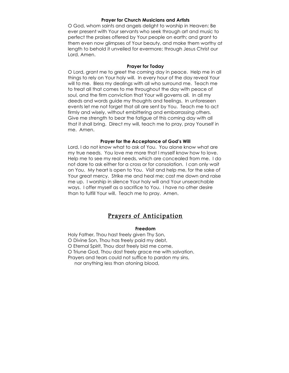#### **Prayer for Church Musicians and Artists**

O God, whom saints and angels delight to worship in Heaven: Be ever present with Your servants who seek through art and music to perfect the praises offered by Your people on earth; and grant to them even now glimpses of Your beauty, and make them worthy at length to behold it unveiled for evermore; through Jesus Christ our Lord. Amen.

#### **Prayer for Today**

O Lord, grant me to greet the coming day in peace. Help me in all things to rely on Your holy will. In every hour of the day reveal Your will to me. Bless my dealings with all who surround me. Teach me to treat all that comes to me throughout the day with peace of soul, and the firm conviction that Your will governs all. In all my deeds and words guide my thoughts and feelings. In unforeseen events let me not forget that all are sent by You. Teach me to act firmly and wisely, without embittering and embarrassing others. Give me strength to bear the fatigue of this coming day with all that it shall bring. Direct my will, teach me to pray, pray Yourself in me. Amen.

#### **Prayer for the Acceptance of God's Will**

Lord, I do not know what to ask of You. You alone know what are my true needs. You love me more that I myself know how to love. Help me to see my real needs, which are concealed from me. I do not dare to ask either for a cross or for consolation. I can only wait on You. My heart is open to You. Visit and help me, for the sake of Your great mercy. Strike me and heal me; cast me down and raise me up. I worship in silence Your holy will and Your unsearchable ways. I offer myself as a sacrifice to You. I have no other desire than to fulfill Your will. Teach me to pray. Amen.

## Prayers of Anticipation

#### **Freedom**

Holy Father, Thou hast freely given Thy Son, O Divine Son, Thou has freely paid my debt, O Eternal Spirit, Thou dost freely bid me come, O Triune God, Thou dost freely grace me with salvation. Prayers and tears could not suffice to pardon my sins, nor anything less than atoning blood,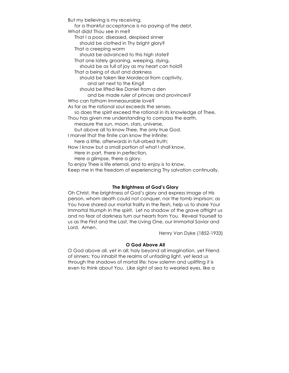But my believing is my receiving, for a thankful acceptance is no paying of the debt. What didst Thou see in me? That I a poor, diseased, despised sinner should be clothed in Thy bright glory? That a creeping worm should be advanced to this high state? That one lately groaning, weeping, dying, should be as full of joy as my heart can hold? That a being of dust and darkness should be taken like Mordecai from captivity, and set next to the King? should be lifted like Daniel from a den and be made ruler of princes and provinces? Who can fathom immeasurable love? As far as the rational soul exceeds the senses, so does the spirit exceed the rational in its knowledge of Thee. Thou has given me understanding to compass the earth, measure the sun, moon, stars, universe, but above all to know Thee, the only true God. I marvel that the finite can know the Infinite; here a little, afterwards in full-orbed truth; Now I know but a small portion of what I shall know, Here in part, there in perfection, Here a glimpse, there a glory. To enjoy Thee is life eternal, and to enjoy is to know. Keep me in the freedom of experiencing Thy salvation continually.

#### **The Brightness of God's Glory**

Oh Christ, the brightness of God's glory and express image of His person, whom death could not conquer, nor the tomb imprison; as You have shared our mortal frailty in the flesh, help us to share Your immortal triumph in the spirit. Let no shadow of the grave affright us and no fear of darkness turn our hearts from You. Reveal Yourself to us as the First and the Last, the Living One, our Immortal Savior and Lord. Amen.

Henry Van Dyke (1852-1933)

#### **O God Above All**

O God above all, yet in all; holy beyond all imagination, yet Friend of sinners; You inhabit the realms of unfading light, yet lead us through the shadows of mortal life; how solemn and uplifting it is even to think about You. Like sight of sea to wearied eyes, like a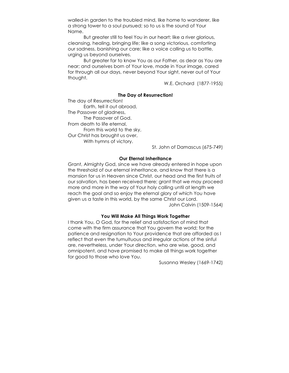walled-in garden to the troubled mind, like home to wanderer, like a strong tower to a soul pursued; so to us is the sound of Your Name.

 But greater still to feel You in our heart; like a river glorious, cleansing, healing, bringing life; like a song victorious, comforting our sadness, banishing our care; like a voice calling us to battle, urging us beyond ourselves.

 But greater far to know You as our Father, as dear as You are near; and ourselves born of Your love, made in Your image, cared for through all our days, never beyond Your sight, never out of Your thought.

W.E. Orchard (1877-1955)

#### **The Day of Resurrection!**

The day of Resurrection! Earth, tell it out abroad, The Passover of gladness, The Passover of God. From death to life eternal, From this world to the sky, Our Christ has brought us over, With hymns of victory.

St. John of Damascus (675-749)

#### **Our Eternal Inheritance**

Grant, Almighty God, since we have already entered in hope upon the threshold of our eternal inheritance, and know that there is a mansion for us in Heaven since Christ, our head and the first fruits of our salvation, has been received there; grant that we may proceed more and more in the way of Your holy calling until at length we reach the goal and so enjoy the eternal glory of which You have given us a taste in this world, by the same Christ our Lord.

John Calvin (1509-1564)

#### **You Will Make All Things Work Together**

I thank You, O God, for the relief and satisfaction of mind that come with the firm assurance that You govern the world; for the patience and resignation to Your providence that are afforded as I reflect that even the tumultuous and irregular actions of the sinful are, nevertheless, under Your direction, who are wise, good, and omnipotent, and have promised to make all things work together for good to those who love You.

Susanna Wesley (1669-1742)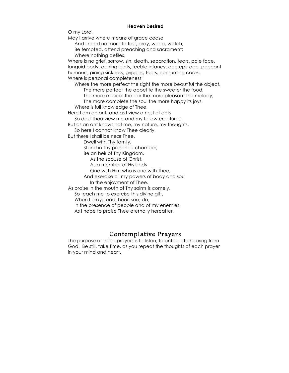#### **Heaven Desired**

O my Lord,

May I arrive where means of grace cease

And I need no more to fast, pray, weep, watch,

 Be tempted, attend preaching and sacrament; Where nothing defiles,

Where is no grief, sorrow, sin, death, separation, tears, pale face, languid body, aching joints, feeble infancy, decrepit age, peccant humours, pining sickness, gripping fears, consuming cares; Where is personal completeness;

 Where the more perfect the sight the more beautiful the object, The more perfect the appetite the sweeter the food,

The more musical the ear the more pleasant the melody,

The more complete the soul the more happy its joys,

Where is full knowledge of Thee.

Here I am an ant, and as I view a nest of ants

So dost Thou view me and my fellow-creatures;

But as an ant knows not me, my nature, my thoughts,

So here I cannot know Thee clearly,

But there I shall be near Thee,

Dwell with Thy family,

Stand in Thy presence chamber,

Be an heir of Thy Kingdom,

As the spouse of Christ,

As a member of His body

One with Him who is one with Thee,

And exercise all my powers of body and soul

In the enjoyment of Thee.

As praise in the mouth of Thy saints is comely,

So teach me to exercise this divine gift,

When I pray, read, hear, see, do,

In the presence of people and of my enemies,

As I hope to praise Thee eternally hereafter.

## Contemplative Prayers

The purpose of these prayers is to listen, to anticipate hearing from God. Be still, take time, as you repeat the thoughts of each prayer in your mind and heart.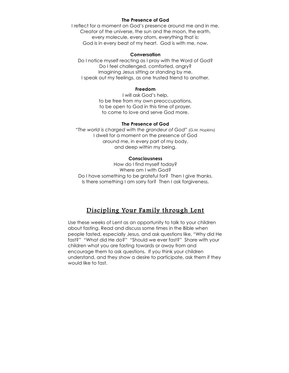#### **The Presence of God**

I reflect for a moment on God's presence around me and in me. Creator of the universe, the sun and the moon, the earth, every molecule, every atom, everything that is: God is in every beat of my heart. God is with me, now.

#### **Conversation**

Do I notice myself reacting as I pray with the Word of God? Do I feel challenged, comforted, angry? Imagining Jesus sitting or standing by me, I speak out my feelings, as one trusted friend to another.

#### **Freedom**

I will ask God's help, to be free from my own preoccupations, to be open to God in this time of prayer, to come to love and serve God more.

#### **The Presence of God**

*"The world is charged with the grandeur of God"* (*G.M. Hopkins*) I dwell for a moment on the presence of God around me, in every part of my body, and deep within my being.

#### **Consciousness**

How do I find myself today? Where am I with God? Do I have something to be grateful for? Then I give thanks. Is there something I am sorry for? Then I ask forgiveness.

## Discipling Your Family through Lent

Use these weeks of Lent as an opportunity to talk to your children about fasting. Read and discuss some times in the Bible when people fasted, especially Jesus, and ask questions like, "Why did He fast?" "What did He do?" "Should we ever fast?" Share with your children what you are fasting towards or away from and encourage them to ask questions. If you think your children understand, and they show a desire to participate, ask them if they would like to fast.